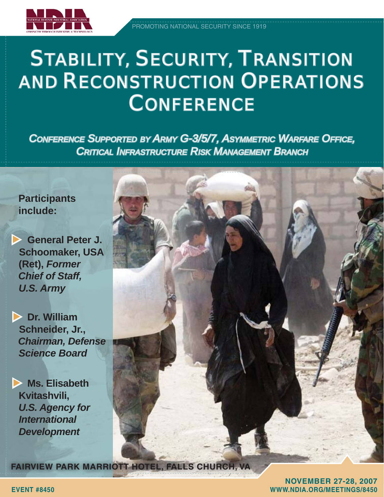

## STABILITY, SECURITY, TRANSITION **AND RECONSTRUCTION OPERATIONS CONFERENCE**

**CONFERENCE SUPPORTED BY ARMY G-3/5/7, ASYMMETRIC WARFARE OFFICE,** *CRITICAL INFRASTRUCTURE RISK MANAGEMENT BRANCH* 

### **Participants include:**

X **General Peter J. Schoomaker, USA (Ret),** *Former Chief of Staff, U.S. Army*

 $\triangleright$  **Dr. William Schneider, Jr.,**  *Chairman, Defense Science Board*

**X** Ms. Elisabeth  **Kvitashvili,** *U.S. Agency for International Development*



**NOVEMBER 27-28, 2007 EVENT #8450 WWW.NDIA.OR WWW.NDIA.ORG/MEETINGS/8450 /MEETINGS/8450**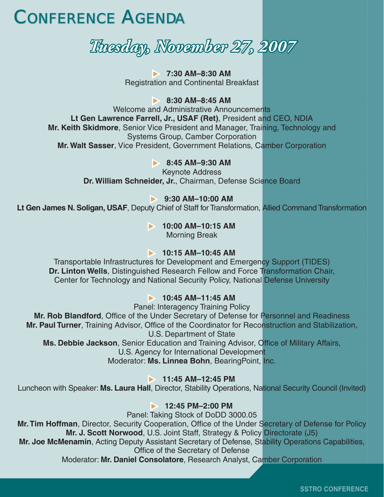### **CONFERENCE AGENDA**

### *Tuesday, November 27, 2007 uesday, 2007*

**► 7:30 AM–8:30 AM** Registration and Continental Breakfast

 $\triangleright$  8:30 AM-8:45 AM

Welcome and Administrative Announcements **Lt Gen Lawrence Farrell, Jr., USAF (Ret)**, President and CEO, NDIA **Mr. Keith Skidmore**, Senior Vice President and Manager, Training, Technology and Systems Group, Camber Corporation **Mr. Walt Sasser**, Vice President, Government Relations, Camber Corporation

**8:45 AM-9:30 AM** 

Keynote Address **Dr. William Schneider, Jr.**, Chairman, Defense Science Board

#### **▶ 9:30 AM–10:00 AM**

**Lt Gen James N. Soligan, USAF**, Deputy Chief of Staff for Transformation, Allied Command Transformation

#### **10:00 AM-10:15 AM**

Morning Break

#### **10:15 AM-10:45 AM**

Transportable Infrastructures for Development and Emergency Support (TIDES) **Dr. Linton Wells**, Distinguished Research Fellow and Force Transformation Chair, Center for Technology and National Security Policy, National Defense University

#### **10:45 AM-11:45 AM**

Panel: Interagency Training Policy

Mr. Rob Blandford, Office of the Under Secretary of Defense for Personnel and Readiness **Mr. Paul Turner**, Training Advisor, Office of the Coordinator for Reconstruction and Stabilization, U.S. Department of State

Ms. Debbie Jackson, Senior Education and Training Advisor, Office of Military Affairs,

U.S. Agency for International Development

Moderator: **Ms. Linnea Bohn**, BearingPoint, Inc.

**11:45 AM-12:45 PM** 

Luncheon with Speaker: **Ms. Laura Hall**, Director, Stability Operations, National Security Council (Invited)

#### **12:45 PM–2:00 PM**

Panel: Taking Stock of DoDD 3000.05 Mr. Tim Hoffman, Director, Security Cooperation, Office of the Under Secretary of Defense for Policy **Mr. J. Scott Norwood**, U.S. Joint Staff, Strategy & Policy Directorate (J5) **Mr. Joe McMenamin**, Acting Deputy Assistant Secretary of Defense, Stability Operations Capabilities,

Office of the Secretary of Defense

Moderator: **Mr. Daniel Consolatore**, Research Analyst, Camber Corporation

**SSTRO CONFERENCE**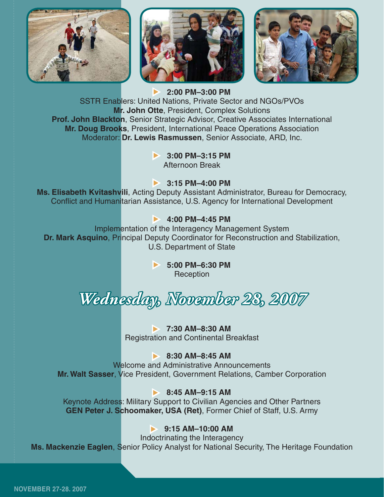





X **2:00 PM–3:00 PM** SSTR Enablers: United Nations, Private Sector and NGOs/PVOs **Mr. John Otte**, President, Complex Solutions **Prof. John Blackton**, Senior Strategic Advisor, Creative Associates International **Mr. Doug Brooks**, President, International Peace Operations Association Moderator: **Dr. Lewis Rasmussen**, Senior Associate, ARD, Inc.

> **▶ 3:00 PM–3:15 PM** Afternoon Break

#### **▶ 3:15 PM–4:00 PM**

**Ms. Elisabeth Kvitashvili**, Acting Deputy Assistant Administrator, Bureau for Democracy, Conflict and Humanitarian Assistance, U.S. Agency for International Development

#### $\triangleright$  4:00 PM-4:45 PM

Implementation of the Interagency Management System **Dr. Mark Asquino**, Principal Deputy Coordinator for Reconstruction and Stabilization, U.S. Department of State

> ◆ 5:00 PM–6:30 PM **Reception**

*Wednesday, November 28, 2007 ednesday,* 

 $\times$  7:30 AM–8:30 AM Registration and Continental Breakfast

#### **8:30 AM–8:45 AM**

Welcome and Administrative Announcements **Mr. Walt Sasser**, Vice President, Government Relations, Camber Corporation

#### **► 8:45 AM–9:15 AM**

Keynote Address: Military Support to Civilian Agencies and Other Partners **GEN Peter J. Schoomaker, USA (Ret)**, Former Chief of Staff, U.S. Army

#### **8:15 AM-10:00 AM**

Indoctrinating the Interagency **Ms. Mackenzie Eaglen**, Senior Policy Analyst for National Security, The Heritage Foundation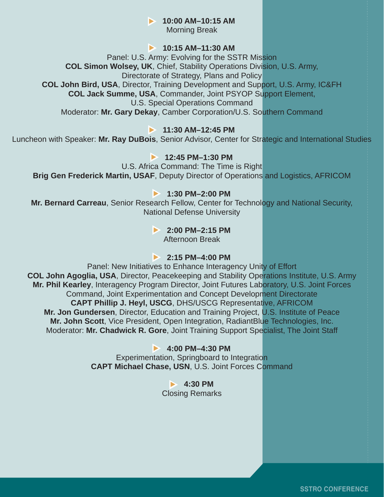**▶ 10:00 AM-10:15 AM** 

Morning Break

#### $\blacktriangleright$  10:15 AM-11:30 AM

Panel: U.S. Army: Evolving for the SSTR Mission **COL Simon Wolsey, UK**, Chief, Stability Operations Division, U.S. Army, Directorate of Strategy, Plans and Policy **COL John Bird, USA**, Director, Training Development and Support, U.S. Army, IC&FH **COL Jack Summe, USA**, Commander, Joint PSYOP Support Element, U.S. Special Operations Command Moderator: **Mr. Gary Dekay**, Camber Corporation/U.S. Southern Command

#### **11:30 AM-12:45 PM**

Luncheon with Speaker: **Mr. Ray DuBois**, Senior Advisor, Center for Strategic and International Studies

#### **12:45 PM–1:30 PM**

U.S. Africa Command: The Time is Right **Brig Gen Frederick Martin, USAF**, Deputy Director of Operations and Logistics, AFRICOM

#### **▶ 1:30 PM–2:00 PM**

**Mr. Bernard Carreau**, Senior Research Fellow, Center for Technology and National Security, National Defense University

#### **▶ 2:00 PM–2:15 PM**

Afternoon Break

#### **▶ 2:15 PM–4:00 PM**

Panel: New Initiatives to Enhance Interagency Unity of Effort **COL John Agoglia, USA**, Director, Peacekeeping and Stability Operations Institute, U.S. Army **Mr. Phil Kearley**, Interagency Program Director, Joint Futures Laboratory, U.S. Joint Forces Command, Joint Experimentation and Concept Development Directorate **CAPT Phillip J. Heyl, USCG**, DHS/USCG Representative, AFRICOM **Mr. Jon Gundersen**, Director, Education and Training Project, U.S. Institute of Peace **Mr. John Scott**, Vice President, Open Integration, RadiantBlue Technologies, Inc. Moderator: **Mr. Chadwick R. Gore**, Joint Training Support Specialist, The Joint Staff

#### X **4:00 PM–4:30 PM**

Experimentation, Springboard to Integration **CAPT Michael Chase, USN**, U.S. Joint Forces Command

> **1:30 PM** Closing Remarks

> > **SSTRO CONFERENCE**